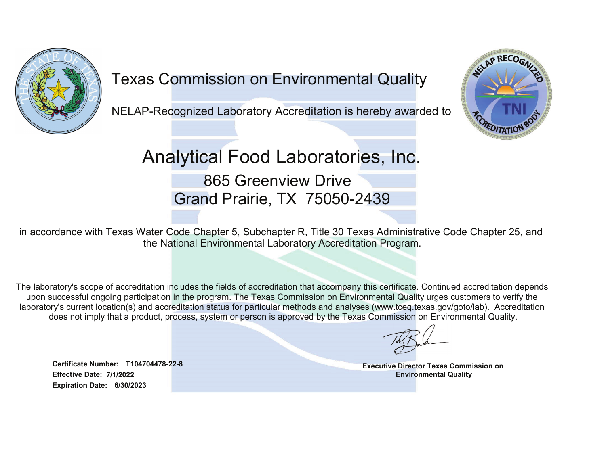

## Texas Commission on Environmental Quality

NELAP-Recognized Laboratory Accreditation is hereby awarded to



## Analytical Food Laboratories, Inc. 865 Greenview Drive

Grand Prairie, TX 75050-2439

in accordance with Texas Water Code Chapter 5, Subchapter R, Title 30 Texas Administrative Code Chapter 25, and the National Environmental Laboratory Accreditation Program.

The laboratory's scope of accreditation includes the fields of accreditation that accompany this certificate. Continued accreditation depends upon successful ongoing participation in the program. The Texas Commission on Environmental Quality urges customers to verify the laboratory's current location(s) and accreditation status for particular methods and analyses (www.tceq.texas.gov/goto/lab). Accreditation does not imply that a product, process, system or person is approved by the Texas Commission on Environmental Quality.

Effective Date: 7/1/2022Certificate Number: T104704478-22-8Expiration Date: 6/30/2023

Executive Director Texas Commission on Environmental Quality